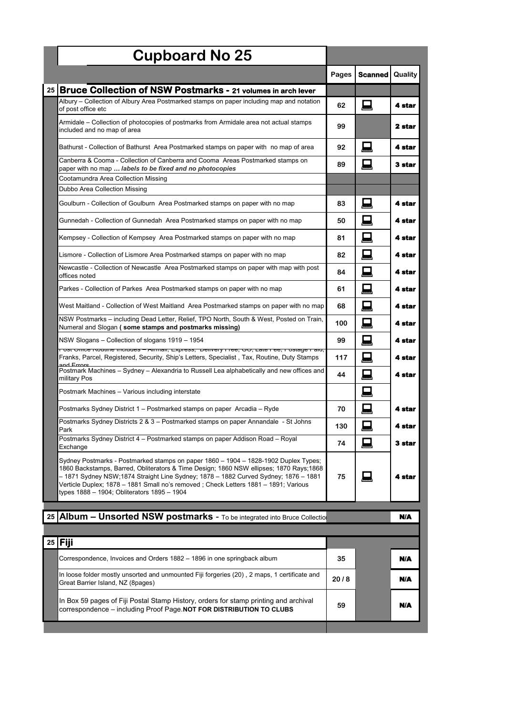| <b>Cupboard No 25</b>                                                                                                                                                                                                                                                                                                                                                                                        |       |                |         |
|--------------------------------------------------------------------------------------------------------------------------------------------------------------------------------------------------------------------------------------------------------------------------------------------------------------------------------------------------------------------------------------------------------------|-------|----------------|---------|
|                                                                                                                                                                                                                                                                                                                                                                                                              | Pages | <b>Scanned</b> | Quality |
| <b>Bruce Collection of NSW Postmarks - 21 volumes in arch lever</b><br>25                                                                                                                                                                                                                                                                                                                                    |       |                |         |
| Albury – Collection of Albury Area Postmarked stamps on paper including map and notation<br>of post office etc                                                                                                                                                                                                                                                                                               | 62    | 鳳              | 4 star  |
| Armidale – Collection of photocopies of postmarks from Armidale area not actual stamps<br>included and no map of area                                                                                                                                                                                                                                                                                        | 99    |                | 2 star  |
| Bathurst - Collection of Bathurst  Area Postmarked stamps on paper with  no map of area                                                                                                                                                                                                                                                                                                                      | 92    | 口              | 4 star  |
| Canberra & Cooma - Collection of Canberra and Cooma Areas Postmarked stamps on<br>paper with no map  labels to be fixed and no photocopies                                                                                                                                                                                                                                                                   | 89    | 口              | 3 star  |
| Cootamundra Area Collection Missing                                                                                                                                                                                                                                                                                                                                                                          |       |                |         |
| Dubbo Area Collection Missing                                                                                                                                                                                                                                                                                                                                                                                |       |                |         |
| Goulburn - Collection of Goulburn Area Postmarked stamps on paper with no map                                                                                                                                                                                                                                                                                                                                | 83    | 口              | 4 star  |
| Gunnedah - Collection of Gunnedah Area Postmarked stamps on paper with no map                                                                                                                                                                                                                                                                                                                                | 50    | 囗              | 4 star  |
| Kempsey - Collection of Kempsey Area Postmarked stamps on paper with no map                                                                                                                                                                                                                                                                                                                                  | 81    | 口              | 4 star  |
| Lismore - Collection of Lismore Area Postmarked stamps on paper with no map                                                                                                                                                                                                                                                                                                                                  | 82    | 口              | 4 star  |
| Newcastle - Collection of Newcastle Area Postmarked stamps on paper with map with post<br>offices noted                                                                                                                                                                                                                                                                                                      | 84    | 囗              | 4 star  |
| Parkes - Collection of Parkes Area Postmarked stamps on paper with no map                                                                                                                                                                                                                                                                                                                                    | 61    | 口              | 4 star  |
| West Maitland - Collection of West Maitland  Area Postmarked stamps on paper with no map                                                                                                                                                                                                                                                                                                                     | 68    | 囗              | 4 star  |
| NSW Postmarks - including Dead Letter, Relief, TPO North, South & West, Posted on Train,<br>Numeral and Slogan (some stamps and postmarks missing)                                                                                                                                                                                                                                                           | 100   | 日              | 4 star  |
| NSW Slogans - Collection of slogans 1919 - 1954<br>rost סוווט <del>פ</del> ולטענווו <del>פ וווטוטעפט – מווווומוו, ב</del> אטופא, "טפוויפו y דו <del>פט, שט, במופ דפט, ד</del> יט <i>א</i> משפ דמוט,                                                                                                                                                                                                          | 99    | 囗              | 4 star  |
| Franks, Parcel, Registered, Security, Ship's Letters, Specialist, Tax, Routine, Duty Stamps<br>and Errore                                                                                                                                                                                                                                                                                                    | 117   | 口              | 4 star  |
| Postmark Machines - Sydney - Alexandria to Russell Lea alphabetically and new offices and<br>military Pos                                                                                                                                                                                                                                                                                                    | 44    | 口              | 4 star  |
| Postmark Machines – Various including interstate                                                                                                                                                                                                                                                                                                                                                             |       | 鳫              |         |
| Postmarks Sydney District 1 - Postmarked stamps on paper Arcadia - Ryde                                                                                                                                                                                                                                                                                                                                      | 70    | 日              | 4 star  |
| Postmarks Sydney Districts 2 & 3 - Postmarked stamps on paper Annandale - St Johns<br>Park                                                                                                                                                                                                                                                                                                                   | 130   | 画              | 4 star  |
| Postmarks Sydney District 4 – Postmarked stamps on paper Addison Road – Royal<br>Exchange                                                                                                                                                                                                                                                                                                                    | 74    | 口              | 3 star  |
| Sydney Postmarks - Postmarked stamps on paper 1860 - 1904 - 1828-1902 Duplex Types;<br>1860 Backstamps, Barred, Obliterators & Time Design; 1860 NSW ellipses; 1870 Rays; 1868<br>- 1871 Sydney NSW;1874 Straight Line Sydney; 1878 - 1882 Curved Sydney; 1876 - 1881<br>Verticle Duplex; 1878 - 1881 Small no's removed ; Check Letters 1881 - 1891; Various<br>types 1888 - 1904; Obliterators 1895 - 1904 | 75    | 曰              | 4 star  |

|    | 25 Album - Unsorted NSW postmarks - To be integrated into Bruce Collection                                                                                  |      | N/A |
|----|-------------------------------------------------------------------------------------------------------------------------------------------------------------|------|-----|
|    |                                                                                                                                                             |      |     |
| 25 | <b>Fiii</b>                                                                                                                                                 |      |     |
|    | Correspondence, Invoices and Orders 1882 – 1896 in one springback album                                                                                     | 35   | N/A |
|    | In loose folder mostly unsorted and unmounted Fiji forgeries (20), 2 maps, 1 certificate and<br>Great Barrier Island, NZ (8pages)                           | 20/8 | N/A |
|    | In Box 59 pages of Fiji Postal Stamp History, orders for stamp printing and archival<br>correspondence – including Proof Page NOT FOR DISTRIBUTION TO CLUBS | 59   | N/A |
|    |                                                                                                                                                             |      |     |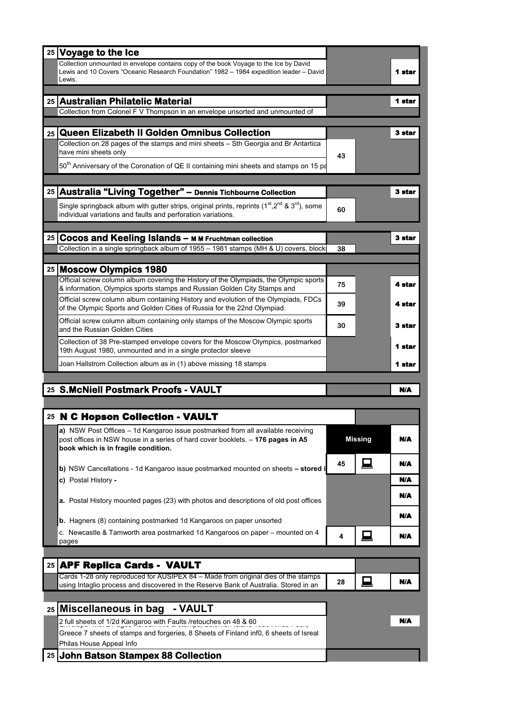| 25 Voyage to the Ice                                                                                                                                                                       |    |                |        |
|--------------------------------------------------------------------------------------------------------------------------------------------------------------------------------------------|----|----------------|--------|
| Collection unmounted in envelope contains copy of the book Voyage to the Ice by David<br>Lewis and 10 Covers "Oceanic Research Foundation" 1982 - 1984 expedition leader - David<br>Lewis. |    |                | 1 star |
|                                                                                                                                                                                            |    |                |        |
| 25 Australian Philatelic Material<br>Collection from Colonel F V Thompson in an envelope unsorted and unmounted of                                                                         |    |                | 1 star |
|                                                                                                                                                                                            |    |                |        |
| <b>Queen Elizabeth II Golden Omnibus Collection</b><br>25 <sub>1</sub>                                                                                                                     |    |                | 3 star |
| Collection on 28 pages of the stamps and mini sheets - Sth Georgia and Br Antartica<br>have mini sheets only                                                                               |    |                |        |
| 50 <sup>th</sup> Anniversary of the Coronation of QE II containing mini sheets and stamps on 15 pa                                                                                         | 43 |                |        |
|                                                                                                                                                                                            |    |                |        |
| Australia "Living Together" - Dennis Tichbourne Collection<br>25                                                                                                                           |    |                | 3 star |
| Single springback album with gutter strips, original prints, reprints (1 <sup>st</sup> , 2 <sup>nd</sup> & 3 <sup>rd</sup> ), some                                                         |    |                |        |
| individual variations and faults and perforation variations.                                                                                                                               | 60 |                |        |
|                                                                                                                                                                                            |    |                |        |
| <b>Cocos and Keeling Islands - M M Fruchtman collection</b><br>25<br>Collection in a single springback album of 1955 - 1981 stamps (MH & U) covers, block                                  | 38 |                | 3 star |
|                                                                                                                                                                                            |    |                |        |
| 25   Moscow Olympics 1980                                                                                                                                                                  |    |                |        |
| Official screw column album covering the History of the Olympiads, the Olympic sports<br>& information, Olympics sports stamps and Russian Golden City Stamps and                          | 75 |                | 4 star |
| Official screw column album containing History and evolution of the Olympiads, FDCs<br>of the Olympic Sports and Golden Cities of Russia for the 22nd Olympiad.                            | 39 |                | 4 star |
| Official screw column album containing only stamps of the Moscow Olympic sports<br>and the Russian Golden Cities                                                                           | 30 |                | 3 star |
| Collection of 38 Pre-stamped envelope covers for the Moscow Olympics, postmarked<br>19th August 1980, unmounted and in a single protector sleeve                                           |    |                | 1 star |
| Joan Hallstrom Collection album as in (1) above missing 18 stamps                                                                                                                          |    |                | 1 star |
|                                                                                                                                                                                            |    |                |        |
| 25 S.McNiell Postmark Proofs - VAULT                                                                                                                                                       |    |                | N/A    |
| 25 N C Hopson Collection - VAULT                                                                                                                                                           |    |                |        |
| a) NSW Post Offices - 1d Kangaroo issue postmarked from all available receiving                                                                                                            |    |                |        |
| post offices in NSW house in a series of hard cover booklets. - 176 pages in A5<br>book which is in fragile condition.                                                                     |    | <b>Missing</b> | N/A    |
|                                                                                                                                                                                            | 45 | 日              | N/A    |
| b) NSW Cancellations - 1d Kangaroo issue postmarked mounted on sheets - stored i<br>c) Postal History -                                                                                    |    |                | N/A    |
|                                                                                                                                                                                            |    |                |        |
| <b>a.</b> Postal History mounted pages (23) with photos and descriptions of old post offices                                                                                               |    |                | N/A    |
| <b>b.</b> Hagners (8) containing postmarked 1d Kangaroos on paper unsorted                                                                                                                 |    |                | N/A    |
| c. Newcastle & Tamworth area postmarked 1d Kangaroos on paper - mounted on 4<br>pages                                                                                                      | 4  | 曰              | N/A    |
|                                                                                                                                                                                            |    |                |        |
| <b>APF Replica Cards - VAULT</b><br>25 <sub>1</sub>                                                                                                                                        |    |                |        |
| Cards 1-28 only reproduced for AUSIPEX 84 - Made from original dies of the stamps<br>using Intaglio process and discovered in the Reserve Bank of Australia. Stored in an                  | 28 | 凨              | N/A    |
|                                                                                                                                                                                            |    |                |        |
| Miscellaneous in bag<br>- VAULT<br>25                                                                                                                                                      |    |                |        |
| 2 full sheets of 1/2d Kangaroo with Faults /retouches on 48 & 60                                                                                                                           |    |                | N/A    |
|                                                                                                                                                                                            |    |                |        |
| Greece 7 sheets of stamps and forgeries, 8 Sheets of Finland inf0, 6 sheets of Isreal<br>Philas House Appeal Info                                                                          |    |                |        |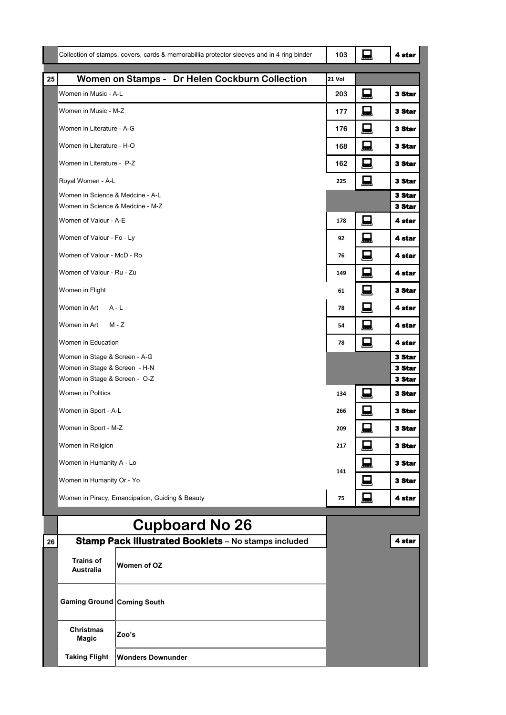|    |                                                                |                          | Collection of stamps, covers, cards & memorabillia protector sleeves and in 4 ring binder | 103    | 鳳 | 4 star                  |
|----|----------------------------------------------------------------|--------------------------|-------------------------------------------------------------------------------------------|--------|---|-------------------------|
| 25 |                                                                |                          | Women on Stamps - Dr Helen Cockburn Collection                                            | 21 Vol |   |                         |
|    | Women in Music - A-L                                           |                          |                                                                                           | 203    | Д | 3 Star                  |
|    | Women in Music - M-Z                                           |                          |                                                                                           | 177    | 鳳 | <b>3 Star</b>           |
|    | Women in Literature - A-G                                      |                          |                                                                                           | 176    | 鳳 | <b>3 Star</b>           |
|    | Women in Literature - H-O                                      |                          |                                                                                           | 168    | 口 | 3 Star                  |
|    | Women in Literature - P-Z                                      |                          |                                                                                           | 162    | 口 | 3 Star                  |
|    | Royal Women - A-L                                              |                          |                                                                                           | 225    | 鳳 | 3 Star                  |
|    | Women in Science & Medcine - A-L                               |                          |                                                                                           |        |   | <b>3 Star</b>           |
|    | Women in Science & Medcine - M-Z                               |                          |                                                                                           |        |   | 3 Star                  |
|    | Women of Valour - A-E                                          |                          |                                                                                           | 178    | 凨 | 4 star                  |
|    | Women of Valour - Fo - Ly                                      |                          |                                                                                           | 92     | 口 | 4 star                  |
|    | Women of Valour - McD - Ro                                     |                          |                                                                                           | 76     | 凨 | 4 star                  |
|    | Women of Valour - Ru - Zu                                      |                          |                                                                                           | 149    | 鳳 | 4 star                  |
|    | Women in Flight                                                |                          |                                                                                           | 61     | 口 | 3 Star                  |
|    | Women in Art                                                   | $A - L$                  |                                                                                           | 78     | 鳳 | 4 star                  |
|    | Women in Art                                                   | $M - Z$                  |                                                                                           | 54     | □ | 4 star                  |
|    | Women in Education                                             |                          |                                                                                           | 78     | 鳳 | 4 star                  |
|    | Women in Stage & Screen - A-G                                  |                          |                                                                                           |        |   | 3 Star                  |
|    | Women in Stage & Screen - H-N<br>Women in Stage & Screen - O-Z |                          |                                                                                           |        |   | <b>3 Star</b><br>3 Star |
|    | Women in Politics                                              |                          |                                                                                           | 134    | Д | 3 Star                  |
|    | Women in Sport - A-L                                           |                          |                                                                                           | 266    | 日 | 3 Star                  |
|    |                                                                |                          |                                                                                           |        | ┍ |                         |
|    | Women in Sport - M-Z<br>Women in Religion                      |                          |                                                                                           | 209    | ᆇ | 3 Star                  |
|    |                                                                |                          |                                                                                           | 217    | 鳳 | 3 Star                  |
|    | Women in Humanity A - Lo                                       |                          |                                                                                           | 141    | 鳳 | 3 Star                  |
|    | Women in Humanity Or - Yo                                      |                          |                                                                                           |        | 曰 | <b>3 Star</b>           |
|    | Women in Piracy, Emancipation, Guiding & Beauty                |                          |                                                                                           | 75     | 口 | 4 star                  |
|    |                                                                |                          | <b>Cupboard No 26</b>                                                                     |        |   |                         |
| 26 |                                                                |                          | Stamp Pack Illustrated Booklets - No stamps included                                      |        |   | 4 star                  |
|    | <b>Trains of</b><br><b>Australia</b>                           | Women of OZ              |                                                                                           |        |   |                         |
|    | <b>Gaming Ground Coming South</b>                              |                          |                                                                                           |        |   |                         |
|    | Christmas<br>Magic                                             | Zoo's                    |                                                                                           |        |   |                         |
|    | <b>Taking Flight</b>                                           | <b>Wonders Downunder</b> |                                                                                           |        |   |                         |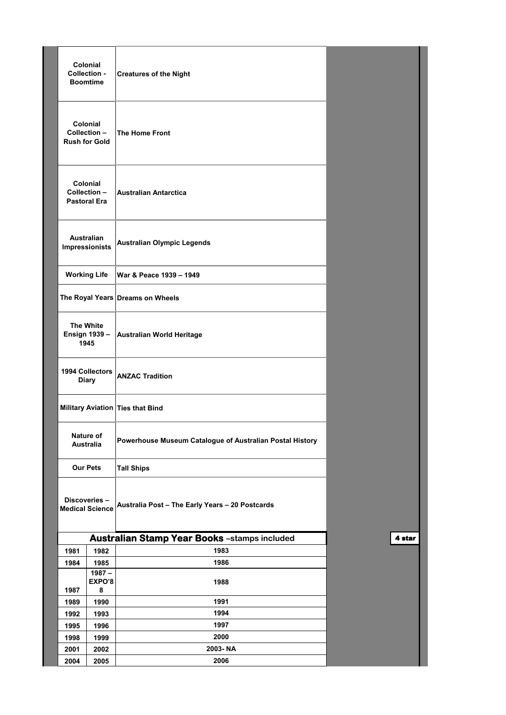| <b>Colonial</b><br>Collection -<br><b>Creatures of the Night</b><br><b>Boomtime</b>       |                         |
|-------------------------------------------------------------------------------------------|-------------------------|
|                                                                                           |                         |
| <b>Colonial</b><br>Collection-<br>The Home Front<br><b>Rush for Gold</b>                  |                         |
| <b>Colonial</b><br>Collection-<br><b>Australian Antarctica</b><br><b>Pastoral Era</b>     |                         |
| <b>Australian</b><br><b>Australian Olympic Legends</b><br>Impressionists                  |                         |
| <b>Working Life</b><br>War & Peace 1939 - 1949                                            |                         |
| The Royal Years Dreams on Wheels                                                          |                         |
| <b>The White</b><br><b>Ensign 1939 -</b><br><b>Australian World Heritage</b><br>1945      |                         |
| <b>1994 Collectors</b><br><b>ANZAC Tradition</b><br><b>Diary</b>                          |                         |
| Military Aviation Ties that Bind                                                          |                         |
| Nature of<br>Powerhouse Museum Catalogue of Australian Postal History<br><b>Australia</b> |                         |
| <b>Our Pets</b><br><b>Tall Ships</b>                                                      |                         |
| Discoveries-<br>Australia Post - The Early Years - 20 Postcards<br><b>Medical Science</b> |                         |
| <b>Australian Stamp Year Books</b> -stamps included                                       | $\overline{\mathbf{A}}$ |
| 1983<br>1981<br>1982                                                                      |                         |
| 1986<br>1984<br>1985<br>$1987 -$                                                          |                         |
| EXPO'8<br>1988<br>1987<br>8                                                               |                         |
| 1991<br>1990<br>1989                                                                      |                         |
| 1994<br>1992<br>1993                                                                      |                         |
| 1997<br>1995<br>1996                                                                      |                         |
| 2000<br>1998<br>1999                                                                      |                         |
| 2003-NA<br>2001<br>2002                                                                   |                         |
| 2006<br>2004<br>2005                                                                      |                         |

star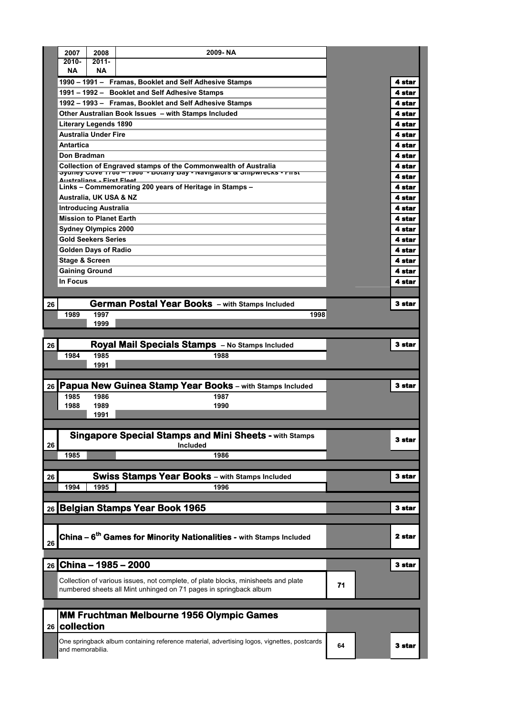|                 | 2007                      | 2008                           | 2009-NA                                                                                                                                                |    |        |
|-----------------|---------------------------|--------------------------------|--------------------------------------------------------------------------------------------------------------------------------------------------------|----|--------|
|                 | $2010 -$                  | $2011 -$                       |                                                                                                                                                        |    |        |
|                 | NΑ                        | <b>NA</b>                      |                                                                                                                                                        |    |        |
|                 |                           |                                | 1990 - 1991 - Framas, Booklet and Self Adhesive Stamps                                                                                                 |    | 4 star |
|                 |                           |                                | 1991 - 1992 - Booklet and Self Adhesive Stamps                                                                                                         |    | 4 star |
|                 |                           |                                | 1992 - 1993 - Framas, Booklet and Self Adhesive Stamps                                                                                                 |    | 4 star |
|                 |                           |                                | Other Australian Book Issues - with Stamps Included                                                                                                    |    | 4 star |
|                 |                           | <b>Literary Legends 1890</b>   |                                                                                                                                                        |    | 4 star |
|                 |                           | <b>Australia Under Fire</b>    |                                                                                                                                                        |    | 4 star |
|                 | <b>Antartica</b>          |                                |                                                                                                                                                        |    | 4 star |
|                 | Don Bradman               |                                |                                                                                                                                                        |    | 4 star |
|                 |                           |                                | Collection of Engraved stamps of the Commonwealth of Australia<br><b>Sydney Cove 1700 - 1900 - Dolany Day - Navigators &amp; Shipwrecks - First</b>    |    | 4 star |
|                 |                           | Australians - First Floot      |                                                                                                                                                        |    | 4 star |
|                 |                           |                                | Links - Commemorating 200 years of Heritage in Stamps -                                                                                                |    | 4 star |
|                 |                           | Australia, UK USA & NZ         |                                                                                                                                                        |    | 4 star |
|                 |                           | <b>Introducing Australia</b>   |                                                                                                                                                        |    | 4 star |
|                 |                           | <b>Mission to Planet Earth</b> |                                                                                                                                                        |    | 4 star |
|                 |                           | <b>Sydney Olympics 2000</b>    |                                                                                                                                                        |    | 4 star |
|                 |                           | <b>Gold Seekers Series</b>     |                                                                                                                                                        |    | 4 star |
|                 |                           | <b>Golden Days of Radio</b>    |                                                                                                                                                        |    | 4 star |
|                 | <b>Stage &amp; Screen</b> |                                |                                                                                                                                                        |    | 4 star |
|                 | <b>Gaining Ground</b>     |                                |                                                                                                                                                        |    | 4 star |
|                 | In Focus                  |                                |                                                                                                                                                        |    | 4 star |
|                 |                           |                                |                                                                                                                                                        |    |        |
| 26              |                           |                                | <b>German Postal Year Books</b> - with Stamps Included                                                                                                 |    | 3 star |
|                 | 1989                      | 1997                           | 1998                                                                                                                                                   |    |        |
|                 |                           | 1999                           |                                                                                                                                                        |    |        |
|                 |                           |                                |                                                                                                                                                        |    | 3 star |
| 26              |                           |                                | Royal Mail Specials Stamps - No Stamps Included                                                                                                        |    |        |
|                 |                           |                                |                                                                                                                                                        |    |        |
|                 | 1984                      | 1985                           | 1988                                                                                                                                                   |    |        |
|                 |                           | 1991                           |                                                                                                                                                        |    |        |
|                 |                           |                                |                                                                                                                                                        |    | 3 star |
| 26              | 1985                      | 1986                           | <b>Papua New Guinea Stamp Year Books - with Stamps Included</b><br>1987                                                                                |    |        |
|                 | 1988                      | 1989                           | 1990                                                                                                                                                   |    |        |
|                 |                           | 1991                           |                                                                                                                                                        |    |        |
|                 |                           |                                |                                                                                                                                                        |    |        |
|                 |                           |                                | <b>Singapore Special Stamps and Mini Sheets - with Stamps</b>                                                                                          |    |        |
| 26              |                           |                                | Included                                                                                                                                               |    | 3 star |
|                 | 1985                      |                                | 1986                                                                                                                                                   |    |        |
|                 |                           |                                |                                                                                                                                                        |    |        |
| 26              |                           |                                | <b>Swiss Stamps Year Books - with Stamps Included</b>                                                                                                  |    | 3 star |
|                 | 1994                      | 1995                           | 1996                                                                                                                                                   |    |        |
|                 |                           |                                |                                                                                                                                                        |    |        |
|                 |                           |                                | 26 Belgian Stamps Year Book 1965                                                                                                                       |    | 3 star |
|                 |                           |                                |                                                                                                                                                        |    |        |
|                 |                           |                                |                                                                                                                                                        |    |        |
| 26              |                           |                                | <b>China – 6<sup>th</sup> Games for Minority Nationalities -</b> with Stamps Included                                                                  |    | 2 star |
|                 |                           |                                |                                                                                                                                                        |    |        |
|                 |                           |                                | 26 China - 1985 - 2000                                                                                                                                 |    | 3 star |
|                 |                           |                                |                                                                                                                                                        |    |        |
|                 |                           |                                | Collection of various issues, not complete, of plate blocks, minisheets and plate<br>numbered sheets all Mint unhinged on 71 pages in springback album | 71 |        |
|                 |                           |                                |                                                                                                                                                        |    |        |
|                 |                           |                                |                                                                                                                                                        |    |        |
|                 |                           |                                | <b>MM Fruchtman Melbourne 1956 Olympic Games</b>                                                                                                       |    |        |
| 26 <sub>1</sub> | collection                |                                |                                                                                                                                                        |    |        |
|                 | and memorabilia.          |                                | One springback album containing reference material, advertising logos, vignettes, postcards                                                            | 64 | 3 star |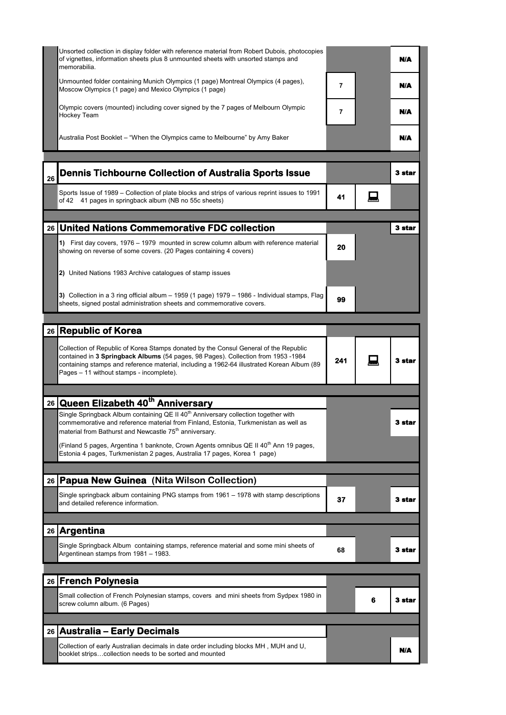|    | Unsorted collection in display folder with reference material from Robert Dubois, photocopies<br>of vignettes, information sheets plus 8 unmounted sheets with unsorted stamps and<br>memorabilia.                                                                                                                  |     |   | N/A           |
|----|---------------------------------------------------------------------------------------------------------------------------------------------------------------------------------------------------------------------------------------------------------------------------------------------------------------------|-----|---|---------------|
|    | Unmounted folder containing Munich Olympics (1 page) Montreal Olympics (4 pages),<br>Moscow Olympics (1 page) and Mexico Olympics (1 page)                                                                                                                                                                          | 7   |   | <b>N/A</b>    |
|    | Olympic covers (mounted) including cover signed by the 7 pages of Melbourn Olympic<br>Hockey Team                                                                                                                                                                                                                   | 7   |   | N/A           |
|    | Australia Post Booklet – "When the Olympics came to Melbourne" by Amy Baker                                                                                                                                                                                                                                         |     |   | N/A           |
| 26 | <b>Dennis Tichbourne Collection of Australia Sports Issue</b>                                                                                                                                                                                                                                                       |     |   | 3 star        |
|    | Sports Issue of 1989 - Collection of plate blocks and strips of various reprint issues to 1991<br>of 42 41 pages in springback album (NB no 55c sheets)                                                                                                                                                             | 41  |   |               |
|    | 26 United Nations Commemorative FDC collection                                                                                                                                                                                                                                                                      |     |   | 3 star        |
|    |                                                                                                                                                                                                                                                                                                                     |     |   |               |
|    | 1) First day covers, 1976 - 1979 mounted in screw column album with reference material<br>showing on reverse of some covers. (20 Pages containing 4 covers)                                                                                                                                                         | 20  |   |               |
|    | 2) United Nations 1983 Archive catalogues of stamp issues                                                                                                                                                                                                                                                           |     |   |               |
|    | 3) Collection in a 3 ring official album $-$ 1959 (1 page) 1979 $-$ 1986 - Individual stamps, Flag<br>sheets, signed postal administration sheets and commemorative covers.                                                                                                                                         | 99  |   |               |
|    |                                                                                                                                                                                                                                                                                                                     |     |   |               |
|    | 26 Republic of Korea                                                                                                                                                                                                                                                                                                |     |   |               |
|    | Collection of Republic of Korea Stamps donated by the Consul General of the Republic<br>contained in 3 Springback Albums (54 pages, 98 Pages). Collection from 1953 -1984<br>containing stamps and reference material, including a 1962-64 illustrated Korean Album (89<br>Pages - 11 without stamps - incomplete). | 241 |   | <b>3 star</b> |
|    | 26 Queen Elizabeth 40 <sup>th</sup> Anniversary                                                                                                                                                                                                                                                                     |     |   |               |
|    | Single Springback Album containing QE II 40 <sup>th</sup> Anniversary collection together with<br>commemorative and reference material from Finland, Estonia, Turkmenistan as well as<br>material from Bathurst and Newcastle 75 <sup>th</sup> anniversary.                                                         |     |   | 3 star        |
|    | (Finland 5 pages, Argentina 1 banknote, Crown Agents omnibus QE II 40 <sup>th</sup> Ann 19 pages,<br>Estonia 4 pages, Turkmenistan 2 pages, Australia 17 pages, Korea 1 page)                                                                                                                                       |     |   |               |
|    |                                                                                                                                                                                                                                                                                                                     |     |   |               |
|    | 26 Papua New Guinea (Nita Wilson Collection)                                                                                                                                                                                                                                                                        |     |   |               |
|    | Single springback album containing PNG stamps from 1961 - 1978 with stamp descriptions<br>and detailed reference information.                                                                                                                                                                                       | 37  |   | 3 star        |
|    | 26 Argentina                                                                                                                                                                                                                                                                                                        |     |   |               |
|    | Single Springback Album containing stamps, reference material and some mini sheets of<br>Argentinean stamps from 1981 - 1983.                                                                                                                                                                                       | 68  |   | 3 star        |
|    |                                                                                                                                                                                                                                                                                                                     |     |   |               |
|    | 26 French Polynesia                                                                                                                                                                                                                                                                                                 |     |   |               |
|    | Small collection of French Polynesian stamps, covers and mini sheets from Sydpex 1980 in<br>screw column album. (6 Pages)                                                                                                                                                                                           |     | 6 | 3 star        |
|    | 26   Australia – Early Decimals                                                                                                                                                                                                                                                                                     |     |   |               |
|    |                                                                                                                                                                                                                                                                                                                     |     |   |               |
|    | Collection of early Australian decimals in date order including blocks MH , MUH and U,<br>booklet stripscollection needs to be sorted and mounted                                                                                                                                                                   |     |   | N/A           |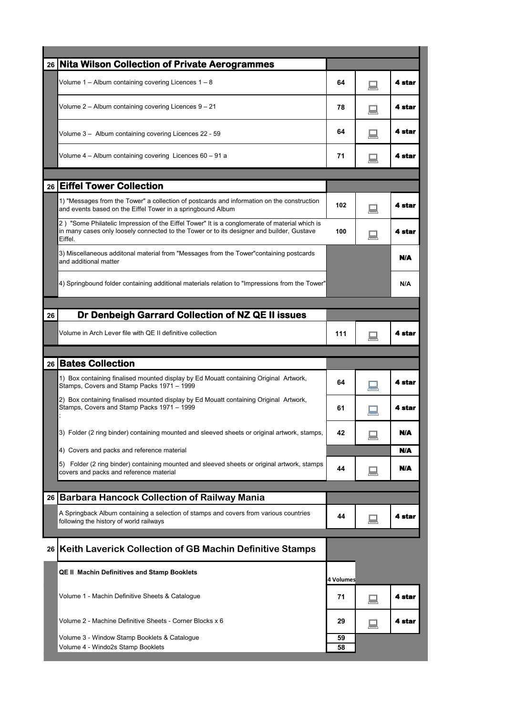| 26 <sup>1</sup> | <b>Nita Wilson Collection of Private Aerogrammes</b>                                                                                                                                                  |           |   |        |
|-----------------|-------------------------------------------------------------------------------------------------------------------------------------------------------------------------------------------------------|-----------|---|--------|
|                 | Volume 1 - Album containing covering Licences 1 - 8                                                                                                                                                   | 64        |   | 4 star |
|                 | Volume 2 - Album containing covering Licences 9 - 21                                                                                                                                                  | 78        |   | 4 star |
|                 | Volume 3 - Album containing covering Licences 22 - 59                                                                                                                                                 | 64        |   | 4 star |
|                 | Volume 4 - Album containing covering Licences 60 - 91 a                                                                                                                                               | 71        |   | 4 star |
| 26              | <b>Eiffel Tower Collection</b>                                                                                                                                                                        |           |   |        |
|                 |                                                                                                                                                                                                       |           |   |        |
|                 | 1) "Messages from the Tower" a collection of postcards and information on the construction<br>and events based on the Eiffel Tower in a springbound Album                                             | 102       |   | 4 star |
|                 | 2) "Some Philatelic Impression of the Eiffel Tower" It is a conglomerate of material which is<br>in many cases only loosely connected to the Tower or to its designer and builder, Gustave<br>Eiffel. | 100       |   | 4 star |
|                 | 3) Miscellaneous additonal material from "Messages from the Tower" containing postcards<br>and additional matter                                                                                      |           |   | N/A    |
|                 | 4) Springbound folder containing additional materials relation to "Impressions from the Tower"                                                                                                        |           |   | N/A    |
|                 |                                                                                                                                                                                                       |           |   |        |
| 26              | Dr Denbeigh Garrard Collection of NZ QE II issues                                                                                                                                                     |           |   |        |
|                 | Volume in Arch Lever file with QE II definitive collection                                                                                                                                            | 111       |   | 4 star |
|                 |                                                                                                                                                                                                       |           |   |        |
|                 |                                                                                                                                                                                                       |           |   |        |
| 26              | <b>Bates Collection</b>                                                                                                                                                                               |           |   |        |
|                 | 1) Box containing finalised mounted display by Ed Mouatt containing Original Artwork,<br>Stamps, Covers and Stamp Packs 1971 - 1999                                                                   | 64        |   | 4 star |
|                 | 2) Box containing finalised mounted display by Ed Mouatt containing Original Artwork,<br>Stamps, Covers and Stamp Packs 1971 - 1999                                                                   | 61        |   | 4 star |
|                 | 3) Folder (2 ring binder) containing mounted and sleeved sheets or original artwork, stamps,                                                                                                          | 42        |   | N/A    |
|                 | 4) Covers and packs and reference material                                                                                                                                                            |           |   | N/A    |
|                 | Folder (2 ring binder) containing mounted and sleeved sheets or original artwork, stamps<br>5).<br>covers and packs and reference material                                                            | 44        | ▒ | N/A    |
|                 |                                                                                                                                                                                                       |           |   |        |
| 26              | <b>Barbara Hancock Collection of Railway Mania</b>                                                                                                                                                    |           |   |        |
|                 | A Springback Album containing a selection of stamps and covers from various countries<br>following the history of world railways                                                                      | 44        |   | 4 star |
|                 |                                                                                                                                                                                                       |           |   |        |
| 26              | Keith Laverick Collection of GB Machin Definitive Stamps                                                                                                                                              |           |   |        |
|                 | <b>QE II Machin Definitives and Stamp Booklets</b>                                                                                                                                                    | 4 Volumes |   |        |
|                 | Volume 1 - Machin Definitive Sheets & Catalogue                                                                                                                                                       | 71        |   | 4 star |
|                 | Volume 2 - Machine Definitive Sheets - Corner Blocks x 6                                                                                                                                              | 29        |   | 4 star |
|                 | Volume 3 - Window Stamp Booklets & Catalogue<br>Volume 4 - Windo2s Stamp Booklets                                                                                                                     | 59<br>58  |   |        |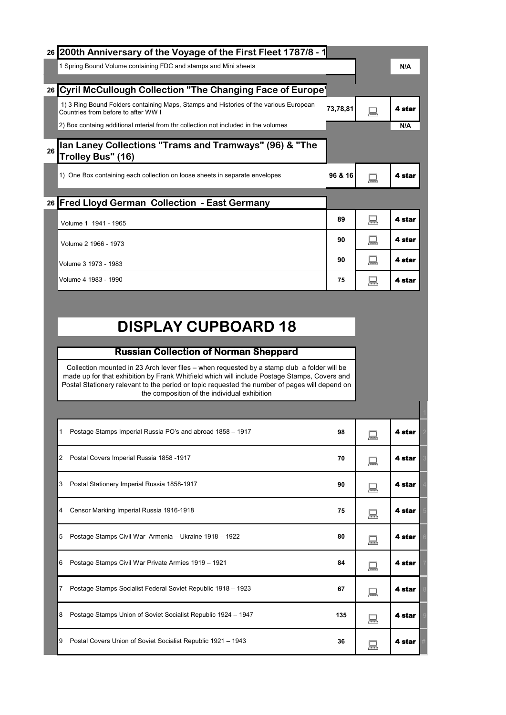| 26 200th Anniversary of the Voyage of the First Fleet 1787/8 - 1                                                             |          |      |        |
|------------------------------------------------------------------------------------------------------------------------------|----------|------|--------|
| 1 Spring Bound Volume containing FDC and stamps and Mini sheets                                                              |          |      | N/A    |
|                                                                                                                              |          |      |        |
| 26 Cyril McCullough Collection "The Changing Face of Europe'                                                                 |          |      |        |
| 1) 3 Ring Bound Folders containing Maps, Stamps and Histories of the various European<br>Countries from before to after WW I | 73,78,81 | ∕≅ਲੜ | 4 star |
| 2) Box containg additional mterial from thr collection not included in the volumes                                           |          |      | N/A    |
| Ian Laney Collections "Trams and Tramways" (96) & "The<br>26<br>Trolley Bus" (16)                                            |          |      |        |
| 1) One Box containing each collection on loose sheets in separate envelopes                                                  | 96 & 16  | ∕≅ਕਰ | 4 star |
| 26 Fred Lloyd German Collection - East Germany                                                                               |          |      |        |
| Volume 1 1941 - 1965                                                                                                         | 89       | ▦    | 4 star |
| Volume 2 1966 - 1973                                                                                                         | 90       | '₹   | 4 star |
|                                                                                                                              | 90       | ▓    | 4 star |
| Volume 3 1973 - 1983                                                                                                         |          |      |        |

## **DISPLAY CUPBOARD 18**

## **Russian Collection of Norman Sheppard**

Collection mounted in 23 Arch lever files – when requested by a stamp club a folder will be made up for that exhibition by Frank Whitfield which will include Postage Stamps, Covers and Postal Stationery relevant to the period or topic requested the number of pages will depend on the composition of the individual exhibition

| 1 | Postage Stamps Imperial Russia PO's and abroad 1858 - 1917    | 98  | '₩ | 4 star |  |
|---|---------------------------------------------------------------|-----|----|--------|--|
| 2 | Postal Covers Imperial Russia 1858 -1917                      | 70  | ▒  | 4 star |  |
| 3 | Postal Stationery Imperial Russia 1858-1917                   | 90  | ▒  | 4 star |  |
| 4 | Censor Marking Imperial Russia 1916-1918                      | 75  | ▒  | 4 star |  |
| 5 | Postage Stamps Civil War Armenia - Ukraine 1918 - 1922        | 80  | '₩ | 4 star |  |
| 6 | Postage Stamps Civil War Private Armies 1919 - 1921           | 84  | '₩ | 4 star |  |
| 7 | Postage Stamps Socialist Federal Soviet Republic 1918 - 1923  | 67  | '₩ | 4 star |  |
| 8 | Postage Stamps Union of Soviet Socialist Republic 1924 - 1947 | 135 | '₩ | 4 star |  |
| 9 | Postal Covers Union of Soviet Socialist Republic 1921 - 1943  | 36  | ᆕ  | 4 star |  |